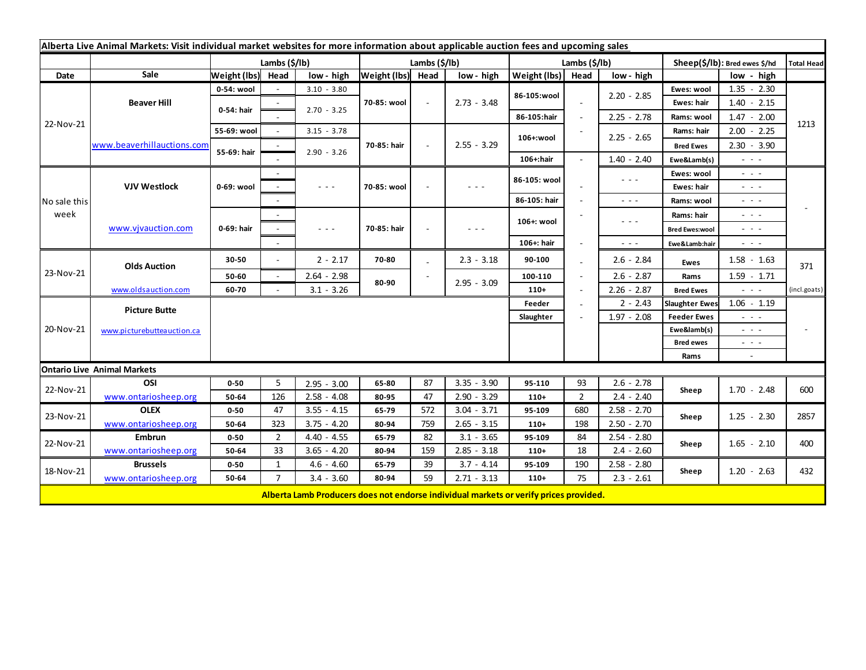| Alberta Live Animal Markets: Visit individual market websites for more information about applicable auction fees and upcoming sales |                            |                           |                |                                                                                                                           |                   |        |                                                                                       |                       |                          |                                                                                                                                                                                                                                                                                                                                                                                                                                                |                                                                                                                           |                                                                                                                           |                                                                                                                        |
|-------------------------------------------------------------------------------------------------------------------------------------|----------------------------|---------------------------|----------------|---------------------------------------------------------------------------------------------------------------------------|-------------------|--------|---------------------------------------------------------------------------------------|-----------------------|--------------------------|------------------------------------------------------------------------------------------------------------------------------------------------------------------------------------------------------------------------------------------------------------------------------------------------------------------------------------------------------------------------------------------------------------------------------------------------|---------------------------------------------------------------------------------------------------------------------------|---------------------------------------------------------------------------------------------------------------------------|------------------------------------------------------------------------------------------------------------------------|
|                                                                                                                                     |                            | Lambs $(\frac{2}{3})$ lb) |                |                                                                                                                           | Lambs (\$/lb)     |        |                                                                                       | Lambs $(\frac{2}{3})$ |                          |                                                                                                                                                                                                                                                                                                                                                                                                                                                | Sheep(\$/lb): Bred ewes \$/hd                                                                                             |                                                                                                                           | Total Head                                                                                                             |
| Date                                                                                                                                | Sale                       | Weight (lbs) Head         |                | low - high                                                                                                                | Weight (lbs) Head |        | low - high                                                                            | Weight (lbs)          | Head                     | low - high                                                                                                                                                                                                                                                                                                                                                                                                                                     |                                                                                                                           | low - high                                                                                                                |                                                                                                                        |
| 22-Nov-21                                                                                                                           | <b>Beaver Hill</b>         | 0-54: wool                |                | $3.10 - 3.80$                                                                                                             | 70-85: wool       | $\sim$ | $2.73 - 3.48$                                                                         | 86-105:wool           |                          | $2.20 - 2.85$                                                                                                                                                                                                                                                                                                                                                                                                                                  | Ewes: wool                                                                                                                | $1.35 - 2.30$                                                                                                             | 1213                                                                                                                   |
|                                                                                                                                     |                            | 0-54: hair                |                | $2.70 - 3.25$                                                                                                             |                   |        |                                                                                       |                       |                          |                                                                                                                                                                                                                                                                                                                                                                                                                                                | Ewes: hair                                                                                                                | $1.40 - 2.15$                                                                                                             |                                                                                                                        |
|                                                                                                                                     |                            |                           |                |                                                                                                                           |                   |        |                                                                                       | 86-105:hair           | $\overline{\phantom{a}}$ | $2.25 - 2.78$                                                                                                                                                                                                                                                                                                                                                                                                                                  | Rams: wool                                                                                                                | $1.47 - 2.00$                                                                                                             |                                                                                                                        |
|                                                                                                                                     | www.beaverhillauctions.com | 55-69: wool               | $\sim$         | $3.15 - 3.78$                                                                                                             |                   | $\sim$ | $2.55 - 3.29$                                                                         | 106+:wool             |                          | $2.25 - 2.65$                                                                                                                                                                                                                                                                                                                                                                                                                                  | Rams: hair                                                                                                                | $2.00 - 2.25$                                                                                                             |                                                                                                                        |
|                                                                                                                                     |                            | 55-69: hair               |                |                                                                                                                           | 70-85: hair       |        |                                                                                       |                       |                          |                                                                                                                                                                                                                                                                                                                                                                                                                                                | <b>Bred Ewes</b>                                                                                                          | $2.30 - 3.90$                                                                                                             |                                                                                                                        |
|                                                                                                                                     |                            |                           |                | $2.90 - 3.26$                                                                                                             |                   |        |                                                                                       | 106+:hair             |                          | $1.40 - 2.40$                                                                                                                                                                                                                                                                                                                                                                                                                                  | Ewe&Lamb(s)                                                                                                               | $\sim$ 100 $\sim$                                                                                                         |                                                                                                                        |
| No sale this<br>week                                                                                                                | <b>VJV Westlock</b>        | 0-69: wool                |                |                                                                                                                           |                   |        | - - -                                                                                 | 86-105: wool          |                          | $\sim$ $\sim$ $\sim$                                                                                                                                                                                                                                                                                                                                                                                                                           | Ewes: wool                                                                                                                | - - -                                                                                                                     |                                                                                                                        |
|                                                                                                                                     |                            |                           |                | $\frac{1}{2} \left( \frac{1}{2} \right) \left( \frac{1}{2} \right) \left( \frac{1}{2} \right) \left( \frac{1}{2} \right)$ | 70-85: wool       |        |                                                                                       |                       |                          |                                                                                                                                                                                                                                                                                                                                                                                                                                                | Ewes: hair                                                                                                                | $\frac{1}{2} \left( \frac{1}{2} \right) \left( \frac{1}{2} \right) \left( \frac{1}{2} \right)$                            |                                                                                                                        |
|                                                                                                                                     |                            |                           |                |                                                                                                                           |                   |        |                                                                                       | 86-105: hair          |                          | $\frac{1}{2} \left( \frac{1}{2} \right) \frac{1}{2} \left( \frac{1}{2} \right) \frac{1}{2} \left( \frac{1}{2} \right)$                                                                                                                                                                                                                                                                                                                         | Rams: wool                                                                                                                | $\sim$ 100 $\pm$                                                                                                          |                                                                                                                        |
|                                                                                                                                     | www.vjvauction.com         | 0-69: hair                | $\sim$         |                                                                                                                           | 70-85: hair       |        | $\sim$ $\sim$ $\sim$                                                                  | 106+: wool            |                          | $\frac{1}{2} \left( \frac{1}{2} \right) + \frac{1}{2} \left( \frac{1}{2} \right) + \frac{1}{2} \left( \frac{1}{2} \right) + \frac{1}{2} \left( \frac{1}{2} \right) + \frac{1}{2} \left( \frac{1}{2} \right) + \frac{1}{2} \left( \frac{1}{2} \right) + \frac{1}{2} \left( \frac{1}{2} \right) + \frac{1}{2} \left( \frac{1}{2} \right) + \frac{1}{2} \left( \frac{1}{2} \right) + \frac{1}{2} \left( \frac{1}{2} \right) + \frac{1}{2} \left($ | Rams: hair                                                                                                                | $\frac{1}{2} \left( \frac{1}{2} \right) \left( \frac{1}{2} \right) \left( \frac{1}{2} \right) \left( \frac{1}{2} \right)$ |                                                                                                                        |
|                                                                                                                                     |                            |                           |                | $\frac{1}{2} \left( \frac{1}{2} \right) \left( \frac{1}{2} \right) \left( \frac{1}{2} \right) \left( \frac{1}{2} \right)$ |                   |        |                                                                                       |                       |                          |                                                                                                                                                                                                                                                                                                                                                                                                                                                | <b>Bred Ewes:wool</b>                                                                                                     | $\frac{1}{2} \left( \frac{1}{2} \right) \frac{1}{2} \left( \frac{1}{2} \right) \frac{1}{2} \left( \frac{1}{2} \right)$    |                                                                                                                        |
|                                                                                                                                     |                            |                           | $\sim$         |                                                                                                                           |                   |        |                                                                                       | 106+: hair            |                          | $\sim$ $\sim$ $\sim$                                                                                                                                                                                                                                                                                                                                                                                                                           | Ewe&Lamb:hair                                                                                                             | $ -$                                                                                                                      |                                                                                                                        |
| 23-Nov-21                                                                                                                           | <b>Olds Auction</b>        | 30-50                     | $\sim$         | $2 - 2.17$                                                                                                                | 70-80             |        | $2.3 - 3.18$                                                                          | 90-100                |                          | $2.6 - 2.84$                                                                                                                                                                                                                                                                                                                                                                                                                                   | Ewes                                                                                                                      | $1.58 - 1.63$                                                                                                             | 371                                                                                                                    |
|                                                                                                                                     |                            | 50-60                     | $\sim$         | $2.64 - 2.98$                                                                                                             | 80-90             |        | $2.95 - 3.09$                                                                         | 100-110               |                          | $2.6 - 2.87$                                                                                                                                                                                                                                                                                                                                                                                                                                   | Rams                                                                                                                      | $1.59 - 1.71$                                                                                                             |                                                                                                                        |
|                                                                                                                                     | www.oldsauction.com        | 60-70                     |                | $3.1 - 3.26$                                                                                                              |                   |        |                                                                                       | $110+$                |                          | $2.26 - 2.87$                                                                                                                                                                                                                                                                                                                                                                                                                                  | <b>Bred Ewes</b>                                                                                                          | (incl.goats)<br>$\sim$ 100 $\sim$                                                                                         |                                                                                                                        |
| 20-Nov-21                                                                                                                           | <b>Picture Butte</b>       |                           |                |                                                                                                                           |                   |        |                                                                                       | Feeder                |                          | $2 - 2.43$                                                                                                                                                                                                                                                                                                                                                                                                                                     | <b>Slaughter Ewes</b>                                                                                                     | $1.06 - 1.19$                                                                                                             |                                                                                                                        |
|                                                                                                                                     |                            | Slaughter                 |                |                                                                                                                           |                   |        |                                                                                       |                       | $1.97 - 2.08$            | <b>Feeder Ewes</b>                                                                                                                                                                                                                                                                                                                                                                                                                             | $\sim$ 10 $\sim$                                                                                                          |                                                                                                                           |                                                                                                                        |
|                                                                                                                                     | www.picturebutteauction.ca |                           |                |                                                                                                                           |                   |        |                                                                                       |                       |                          |                                                                                                                                                                                                                                                                                                                                                                                                                                                | Ewe&lamb(s)                                                                                                               |                                                                                                                           | $\frac{1}{2} \left( \frac{1}{2} \right) \frac{1}{2} \left( \frac{1}{2} \right) \frac{1}{2} \left( \frac{1}{2} \right)$ |
|                                                                                                                                     |                            |                           |                |                                                                                                                           |                   |        |                                                                                       |                       |                          | <b>Bred ewes</b>                                                                                                                                                                                                                                                                                                                                                                                                                               | $\frac{1}{2} \left( \frac{1}{2} \right) \left( \frac{1}{2} \right) \left( \frac{1}{2} \right) \left( \frac{1}{2} \right)$ |                                                                                                                           |                                                                                                                        |
|                                                                                                                                     |                            |                           |                |                                                                                                                           |                   |        |                                                                                       |                       |                          |                                                                                                                                                                                                                                                                                                                                                                                                                                                | Rams                                                                                                                      | $\sim$                                                                                                                    |                                                                                                                        |
| <b>Ontario Live Animal Markets</b>                                                                                                  |                            |                           |                |                                                                                                                           |                   |        |                                                                                       |                       |                          |                                                                                                                                                                                                                                                                                                                                                                                                                                                |                                                                                                                           |                                                                                                                           |                                                                                                                        |
| 22-Nov-21                                                                                                                           | OSI                        | $0 - 50$                  | 5              | $2.95 - 3.00$                                                                                                             | 65-80             | 87     | $3.35 - 3.90$                                                                         | 95-110                | 93                       | $2.6 - 2.78$                                                                                                                                                                                                                                                                                                                                                                                                                                   | Sheep                                                                                                                     | $1.70 - 2.48$                                                                                                             | 600                                                                                                                    |
|                                                                                                                                     | www.ontariosheep.org       | 50-64                     | 126            | $2.58 - 4.08$                                                                                                             | 80-95             | 47     | $2.90 - 3.29$                                                                         | $110+$                | $\overline{2}$           | $2.4 - 2.40$                                                                                                                                                                                                                                                                                                                                                                                                                                   |                                                                                                                           |                                                                                                                           |                                                                                                                        |
| 23-Nov-21                                                                                                                           | <b>OLEX</b>                | $0 - 50$                  | 47             | $3.55 - 4.15$                                                                                                             | 65-79             | 572    | $3.04 - 3.71$                                                                         | 95-109                | 680                      | $2.58 - 2.70$                                                                                                                                                                                                                                                                                                                                                                                                                                  | Sheep                                                                                                                     | $1.25 - 2.30$                                                                                                             | 2857                                                                                                                   |
|                                                                                                                                     | www.ontariosheep.org       | 50-64                     | 323            | $3.75 - 4.20$                                                                                                             | 80-94             | 759    | $2.65 - 3.15$                                                                         | $110+$                | 198                      | $2.50 - 2.70$                                                                                                                                                                                                                                                                                                                                                                                                                                  |                                                                                                                           |                                                                                                                           |                                                                                                                        |
| 22-Nov-21                                                                                                                           | <b>Embrun</b>              | $0 - 50$                  | $\overline{2}$ | $4.40 - 4.55$                                                                                                             | 65-79             | 82     | $3.1 - 3.65$                                                                          | 95-109                | 84                       | $2.54 - 2.80$                                                                                                                                                                                                                                                                                                                                                                                                                                  | Sheep                                                                                                                     | $1.65 - 2.10$                                                                                                             | 400                                                                                                                    |
|                                                                                                                                     | www.ontariosheep.org       | 50-64                     | 33             | $3.65 - 4.20$                                                                                                             | 80-94             | 159    | $2.85 - 3.18$                                                                         | $110+$                | 18                       | $2.4 - 2.60$                                                                                                                                                                                                                                                                                                                                                                                                                                   |                                                                                                                           |                                                                                                                           |                                                                                                                        |
| 18-Nov-21                                                                                                                           | <b>Brussels</b>            | $0 - 50$                  | 1              | $4.6 - 4.60$                                                                                                              | 65-79             | 39     | $3.7 - 4.14$                                                                          | 95-109                | 190                      | $2.58 - 2.80$                                                                                                                                                                                                                                                                                                                                                                                                                                  | Sheep                                                                                                                     | $1.20 - 2.63$                                                                                                             | 432                                                                                                                    |
|                                                                                                                                     | www.ontariosheep.org       | 50-64                     | $\overline{7}$ | $3.4 - 3.60$                                                                                                              | 80-94             | 59     | $2.71 - 3.13$                                                                         | $110+$                | 75                       | $2.3 - 2.61$                                                                                                                                                                                                                                                                                                                                                                                                                                   |                                                                                                                           |                                                                                                                           |                                                                                                                        |
|                                                                                                                                     |                            |                           |                |                                                                                                                           |                   |        | Alberta Lamb Producers does not endorse individual markets or verify prices provided. |                       |                          |                                                                                                                                                                                                                                                                                                                                                                                                                                                |                                                                                                                           |                                                                                                                           |                                                                                                                        |